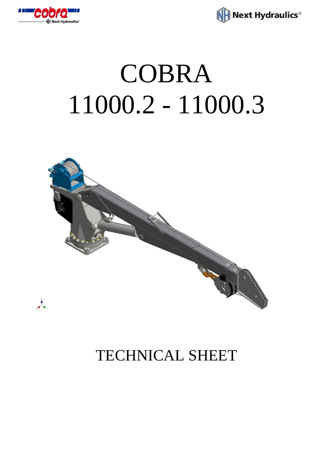



# COBRA 11000.2 - 11000.3



## TECHNICAL SHEET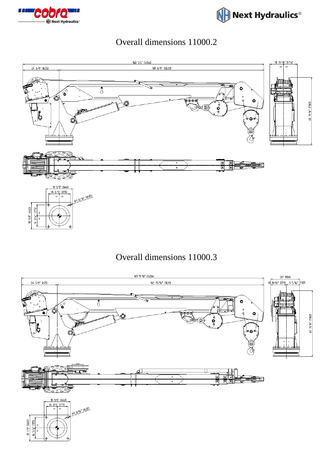



#### Overall dimensions 11000.2



#### Overall dimensions 11000.3

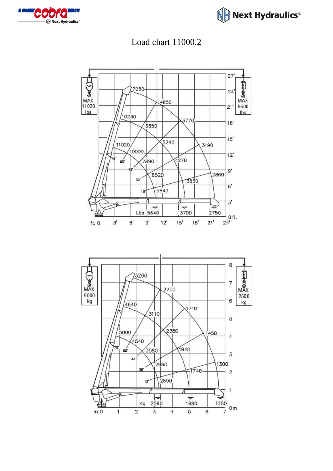







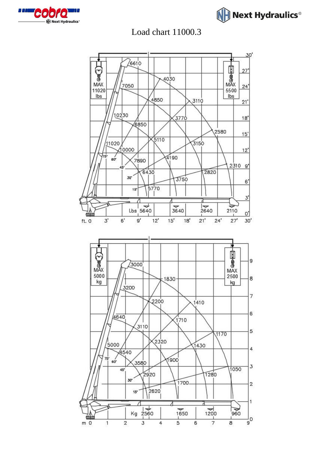



### Load chart 11000.3